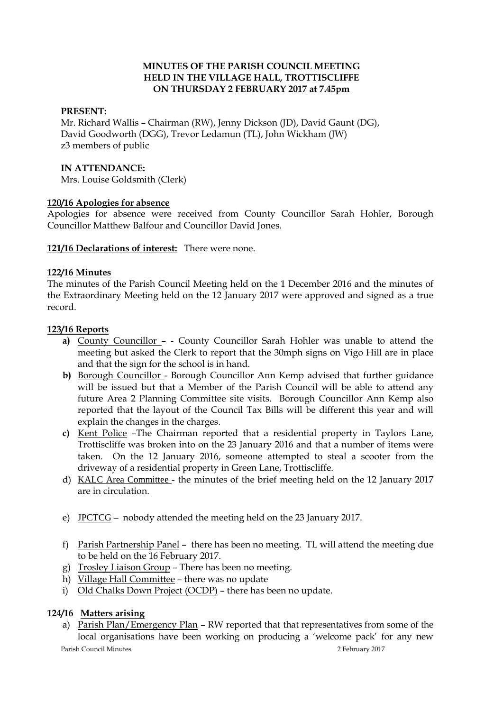# **MINUTES OF THE PARISH COUNCIL MEETING HELD IN THE VILLAGE HALL, TROTTISCLIFFE ON THURSDAY 2 FEBRUARY 2017 at 7.45pm**

## **PRESENT:**

Mr. Richard Wallis – Chairman (RW), Jenny Dickson (JD), David Gaunt (DG), David Goodworth (DGG), Trevor Ledamun (TL), John Wickham (JW) z3 members of public

### **IN ATTENDANCE:**

Mrs. Louise Goldsmith (Clerk)

# **120/16 Apologies for absence**

Apologies for absence were received from County Councillor Sarah Hohler, Borough Councillor Matthew Balfour and Councillor David Jones.

**121/16 Declarations of interest:** There were none.

## **122/16 Minutes**

The minutes of the Parish Council Meeting held on the 1 December 2016 and the minutes of the Extraordinary Meeting held on the 12 January 2017 were approved and signed as a true record.

## **123/16 Reports**

- **a)** County Councillor - County Councillor Sarah Hohler was unable to attend the meeting but asked the Clerk to report that the 30mph signs on Vigo Hill are in place and that the sign for the school is in hand.
- **b)** Borough Councillor Borough Councillor Ann Kemp advised that further guidance will be issued but that a Member of the Parish Council will be able to attend any future Area 2 Planning Committee site visits. Borough Councillor Ann Kemp also reported that the layout of the Council Tax Bills will be different this year and will explain the changes in the charges.
- **c)** Kent Police –The Chairman reported that a residential property in Taylors Lane, Trottiscliffe was broken into on the 23 January 2016 and that a number of items were taken. On the 12 January 2016, someone attempted to steal a scooter from the driveway of a residential property in Green Lane, Trottiscliffe.
- d) KALC Area Committee the minutes of the brief meeting held on the 12 January 2017 are in circulation.
- e) JPCTCG nobody attended the meeting held on the 23 January 2017.
- f) Parish Partnership Panel there has been no meeting. TL will attend the meeting due to be held on the 16 February 2017.
- g) Trosley Liaison Group There has been no meeting.
- h) Village Hall Committee there was no update
- i) Old Chalks Down Project (OCDP) there has been no update.

# **124/16 Matters arising**

a) Parish Plan/Emergency Plan – RW reported that that representatives from some of the local organisations have been working on producing a 'welcome pack' for any new

Parish Council Minutes 2 February 2017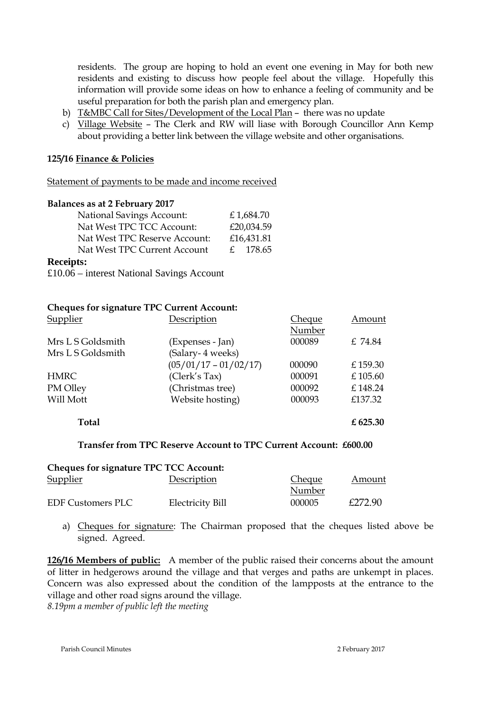residents. The group are hoping to hold an event one evening in May for both new residents and existing to discuss how people feel about the village. Hopefully this information will provide some ideas on how to enhance a feeling of community and be useful preparation for both the parish plan and emergency plan.

- b) T&MBC Call for Sites/Development of the Local Plan there was no update
- c) Village Website The Clerk and RW will liase with Borough Councillor Ann Kemp about providing a better link between the village website and other organisations.

### **125/16 Finance & Policies**

Statement of payments to be made and income received

#### **Balances as at 2 February 2017**

| <b>National Savings Account:</b> | £1,684.70  |
|----------------------------------|------------|
| Nat West TPC TCC Account:        | £20,034.59 |
| Nat West TPC Reserve Account:    | £16,431.81 |
| Nat West TPC Current Account     | £ 178.65   |
| eceints:                         |            |

### **Receipts:**

£10.06 – interest National Savings Account

## **Cheques for signature TPC Current Account:**

| Supplier          | Description             | <b>Cheque</b> | Amount   |
|-------------------|-------------------------|---------------|----------|
|                   |                         | Number        |          |
| Mrs L S Goldsmith | (Expenses - Jan)        | 000089        | £ 74.84  |
| Mrs L S Goldsmith | (Salary-4 weeks)        |               |          |
|                   | $(05/01/17 - 01/02/17)$ | 000090        | £159.30  |
| <b>HMRC</b>       | (Clerk's Tax)           | 000091        | £105.60  |
| PM Olley          | (Christmas tree)        | 000092        | £148.24  |
| Will Mott         | Website hosting)        | 000093        | £137.32  |
| <b>Total</b>      |                         |               | £ 625.30 |

#### **Transfer from TPC Reserve Account to TPC Current Account: £600.00**

| <b>Cheques for signature TPC TCC Account:</b> |                         |               |         |
|-----------------------------------------------|-------------------------|---------------|---------|
| <b>Supplier</b>                               | Description             | <b>Cheque</b> | Amount  |
|                                               |                         | Number        |         |
| <b>EDF Customers PLC</b>                      | <b>Electricity Bill</b> | 000005        | £272.90 |

a) Cheques for signature: The Chairman proposed that the cheques listed above be signed. Agreed.

**126/16 Members of public:** A member of the public raised their concerns about the amount of litter in hedgerows around the village and that verges and paths are unkempt in places. Concern was also expressed about the condition of the lampposts at the entrance to the village and other road signs around the village.

*8.19pm a member of public left the meeting*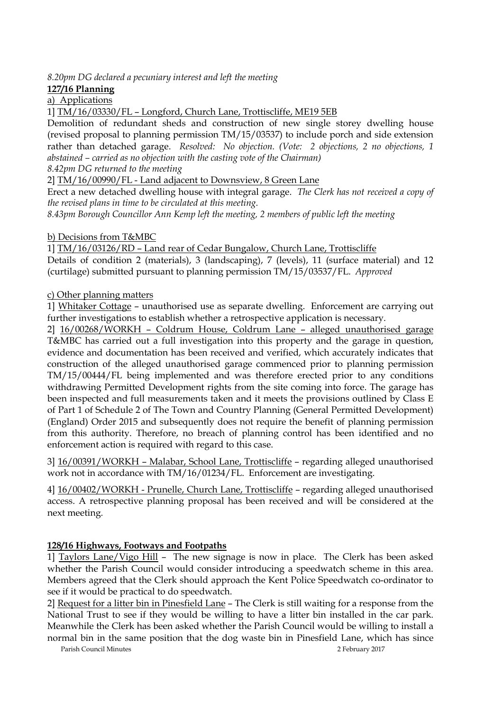*8.20pm DG declared a pecuniary interest and left the meeting*

**127/16 Planning**

a) Applications

1] TM/16/03330/FL – Longford, Church Lane, Trottiscliffe, ME19 5EB

Demolition of redundant sheds and construction of new single storey dwelling house (revised proposal to planning permission TM/15/03537) to include porch and side extension rather than detached garage. *Resolved: No objection. (Vote: 2 objections, 2 no objections, 1 abstained – carried as no objection with the casting vote of the Chairman)*

*8.42pm DG returned to the meeting*

2] TM/16/00990/FL - Land adjacent to Downsview, 8 Green Lane

Erect a new detached dwelling house with integral garage. *The Clerk has not received a copy of the revised plans in time to be circulated at this meeting.*

*8.43pm Borough Councillor Ann Kemp left the meeting, 2 members of public left the meeting*

b) Decisions from T&MBC

1] TM/16/03126/RD – Land rear of Cedar Bungalow, Church Lane, Trottiscliffe

Details of condition 2 (materials), 3 (landscaping), 7 (levels), 11 (surface material) and 12 (curtilage) submitted pursuant to planning permission TM/15/03537/FL. *Approved*

c) Other planning matters

1] Whitaker Cottage – unauthorised use as separate dwelling. Enforcement are carrying out further investigations to establish whether a retrospective application is necessary.

2] 16/00268/WORKH – Coldrum House, Coldrum Lane – alleged unauthorised garage T&MBC has carried out a full investigation into this property and the garage in question, evidence and documentation has been received and verified, which accurately indicates that construction of the alleged unauthorised garage commenced prior to planning permission TM/15/00444/FL being implemented and was therefore erected prior to any conditions withdrawing Permitted Development rights from the site coming into force. The garage has been inspected and full measurements taken and it meets the provisions outlined by Class E of Part 1 of Schedule 2 of The Town and Country Planning (General Permitted Development) (England) Order 2015 and subsequently does not require the benefit of planning permission from this authority. Therefore, no breach of planning control has been identified and no enforcement action is required with regard to this case.

3] 16/00391/WORKH – Malabar, School Lane, Trottiscliffe – regarding alleged unauthorised work not in accordance with TM/16/01234/FL. Enforcement are investigating.

4] 16/00402/WORKH - Prunelle, Church Lane, Trottiscliffe – regarding alleged unauthorised access. A retrospective planning proposal has been received and will be considered at the next meeting.

# **128/16 Highways, Footways and Footpaths**

1] Taylors Lane/Vigo Hill – The new signage is now in place. The Clerk has been asked whether the Parish Council would consider introducing a speedwatch scheme in this area. Members agreed that the Clerk should approach the Kent Police Speedwatch co-ordinator to see if it would be practical to do speedwatch.

2] Request for a litter bin in Pinesfield Lane – The Clerk is still waiting for a response from the National Trust to see if they would be willing to have a litter bin installed in the car park. Meanwhile the Clerk has been asked whether the Parish Council would be willing to install a normal bin in the same position that the dog waste bin in Pinesfield Lane, which has since

Parish Council Minutes 2 February 2017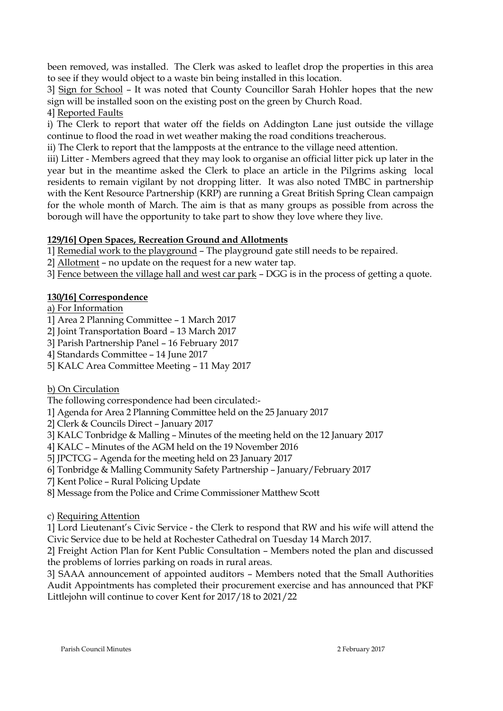been removed, was installed. The Clerk was asked to leaflet drop the properties in this area to see if they would object to a waste bin being installed in this location.

3] Sign for School – It was noted that County Councillor Sarah Hohler hopes that the new sign will be installed soon on the existing post on the green by Church Road.

4] Reported Faults

i) The Clerk to report that water off the fields on Addington Lane just outside the village continue to flood the road in wet weather making the road conditions treacherous.

ii) The Clerk to report that the lampposts at the entrance to the village need attention.

iii) Litter - Members agreed that they may look to organise an official litter pick up later in the year but in the meantime asked the Clerk to place an article in the Pilgrims asking local residents to remain vigilant by not dropping litter. It was also noted TMBC in partnership with the Kent Resource Partnership (KRP) are running a Great British Spring Clean campaign for the whole month of March. The aim is that as many groups as possible from across the borough will have the opportunity to take part to show they love where they live.

# **129/16] Open Spaces, Recreation Ground and Allotments**

1] Remedial work to the playground – The playground gate still needs to be repaired.

2] Allotment – no update on the request for a new water tap.

3] Fence between the village hall and west car park – DGG is in the process of getting a quote.

# **130/16] Correspondence**

# a) For Information

- 1] Area 2 Planning Committee 1 March 2017
- 2] Joint Transportation Board 13 March 2017
- 3] Parish Partnership Panel 16 February 2017
- 4] Standards Committee 14 June 2017
- 5] KALC Area Committee Meeting 11 May 2017
- b) On Circulation

The following correspondence had been circulated:-

- 1] Agenda for Area 2 Planning Committee held on the 25 January 2017
- 2] Clerk & Councils Direct January 2017
- 3] KALC Tonbridge & Malling Minutes of the meeting held on the 12 January 2017
- 4] KALC Minutes of the AGM held on the 19 November 2016
- 5] JPCTCG Agenda for the meeting held on 23 January 2017
- 6] Tonbridge & Malling Community Safety Partnership January/February 2017
- 7] Kent Police Rural Policing Update
- 8] Message from the Police and Crime Commissioner Matthew Scott
- c) Requiring Attention

1] Lord Lieutenant's Civic Service - the Clerk to respond that RW and his wife will attend the Civic Service due to be held at Rochester Cathedral on Tuesday 14 March 2017.

2] Freight Action Plan for Kent Public Consultation – Members noted the plan and discussed the problems of lorries parking on roads in rural areas.

3] SAAA announcement of appointed auditors – Members noted that the Small Authorities Audit Appointments has completed their procurement exercise and has announced that PKF Littlejohn will continue to cover Kent for 2017/18 to 2021/22